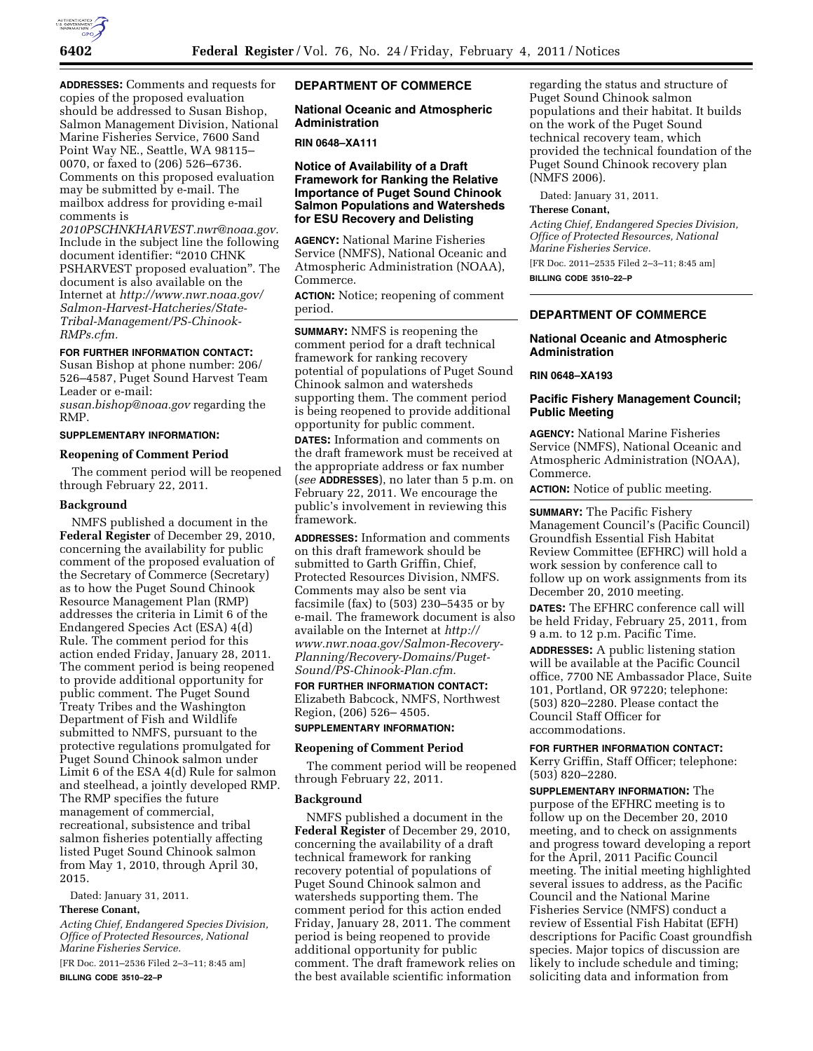

**ADDRESSES:** Comments and requests for copies of the proposed evaluation should be addressed to Susan Bishop, Salmon Management Division, National Marine Fisheries Service, 7600 Sand Point Way NE., Seattle, WA 98115– 0070, or faxed to (206) 526–6736. Comments on this proposed evaluation may be submitted by e-mail. The mailbox address for providing e-mail comments is

*[2010PSCHNKHARVEST.nwr@noaa.gov.](mailto:2010PSCHNKHARVEST.nwr@noaa.gov)*  Include in the subject line the following document identifier: "2010 CHNK PSHARVEST proposed evaluation''. The document is also available on the Internet at *[http://www.nwr.noaa.gov/](http://www.nwr.noaa.gov/Salmon-Harvest-Hatcheries/State-Tribal-Management/PS-Chinook-RMPs.cfm) [Salmon-Harvest-Hatcheries/State-](http://www.nwr.noaa.gov/Salmon-Harvest-Hatcheries/State-Tribal-Management/PS-Chinook-RMPs.cfm)[Tribal-Management/PS-Chinook-](http://www.nwr.noaa.gov/Salmon-Harvest-Hatcheries/State-Tribal-Management/PS-Chinook-RMPs.cfm)[RMPs.cfm.](http://www.nwr.noaa.gov/Salmon-Harvest-Hatcheries/State-Tribal-Management/PS-Chinook-RMPs.cfm)* 

### **FOR FURTHER INFORMATION CONTACT:**

Susan Bishop at phone number: 206/ 526–4587, Puget Sound Harvest Team Leader or e-mail:

*[susan.bishop@noaa.gov](mailto:susan.bishop@noaa.gov)* regarding the RMP.

### **SUPPLEMENTARY INFORMATION:**

#### **Reopening of Comment Period**

The comment period will be reopened through February 22, 2011.

#### **Background**

NMFS published a document in the **Federal Register** of December 29, 2010, concerning the availability for public comment of the proposed evaluation of the Secretary of Commerce (Secretary) as to how the Puget Sound Chinook Resource Management Plan (RMP) addresses the criteria in Limit 6 of the Endangered Species Act (ESA) 4(d) Rule. The comment period for this action ended Friday, January 28, 2011. The comment period is being reopened to provide additional opportunity for public comment. The Puget Sound Treaty Tribes and the Washington Department of Fish and Wildlife submitted to NMFS, pursuant to the protective regulations promulgated for Puget Sound Chinook salmon under Limit 6 of the ESA 4(d) Rule for salmon and steelhead, a jointly developed RMP. The RMP specifies the future management of commercial, recreational, subsistence and tribal salmon fisheries potentially affecting listed Puget Sound Chinook salmon from May 1, 2010, through April 30, 2015.

Dated: January 31, 2011.

# **Therese Conant,**

*Acting Chief, Endangered Species Division, Office of Protected Resources, National Marine Fisheries Service.* 

[FR Doc. 2011–2536 Filed 2–3–11; 8:45 am] **BILLING CODE 3510–22–P** 

## **DEPARTMENT OF COMMERCE**

## **National Oceanic and Atmospheric Administration**

#### **RIN 0648–XA111**

## **Notice of Availability of a Draft Framework for Ranking the Relative Importance of Puget Sound Chinook Salmon Populations and Watersheds for ESU Recovery and Delisting**

**AGENCY:** National Marine Fisheries Service (NMFS), National Oceanic and Atmospheric Administration (NOAA), Commerce.

**ACTION:** Notice; reopening of comment period.

**SUMMARY:** NMFS is reopening the comment period for a draft technical framework for ranking recovery potential of populations of Puget Sound Chinook salmon and watersheds supporting them. The comment period is being reopened to provide additional opportunity for public comment.

**DATES:** Information and comments on the draft framework must be received at the appropriate address or fax number (*see* **ADDRESSES**), no later than 5 p.m. on February 22, 2011. We encourage the public's involvement in reviewing this framework.

**ADDRESSES:** Information and comments on this draft framework should be submitted to Garth Griffin, Chief, Protected Resources Division, NMFS. Comments may also be sent via facsimile (fax) to (503) 230–5435 or by e-mail. The framework document is also available on the Internet at *[http://](http://www.nwr.noaa.gov/Salmon-Recovery-Planning/Recovery-Domains/Puget-Sound/PS-Chinook-Plan.cfm) [www.nwr.noaa.gov/Salmon-Recovery-](http://www.nwr.noaa.gov/Salmon-Recovery-Planning/Recovery-Domains/Puget-Sound/PS-Chinook-Plan.cfm)[Planning/Recovery-Domains/Puget-](http://www.nwr.noaa.gov/Salmon-Recovery-Planning/Recovery-Domains/Puget-Sound/PS-Chinook-Plan.cfm)[Sound/PS-Chinook-Plan.cfm.](http://www.nwr.noaa.gov/Salmon-Recovery-Planning/Recovery-Domains/Puget-Sound/PS-Chinook-Plan.cfm)* 

**FOR FURTHER INFORMATION CONTACT:**  Elizabeth Babcock, NMFS, Northwest Region, (206) 526– 4505. **SUPPLEMENTARY INFORMATION:** 

# **Reopening of Comment Period**

The comment period will be reopened through February 22, 2011.

#### **Background**

NMFS published a document in the **Federal Register** of December 29, 2010, concerning the availability of a draft technical framework for ranking recovery potential of populations of Puget Sound Chinook salmon and watersheds supporting them. The comment period for this action ended Friday, January 28, 2011. The comment period is being reopened to provide additional opportunity for public comment. The draft framework relies on the best available scientific information

regarding the status and structure of Puget Sound Chinook salmon populations and their habitat. It builds on the work of the Puget Sound technical recovery team, which provided the technical foundation of the Puget Sound Chinook recovery plan (NMFS 2006).

Dated: January 31, 2011.

### **Therese Conant,**

*Acting Chief, Endangered Species Division, Office of Protected Resources, National Marine Fisheries Service.* 

[FR Doc. 2011–2535 Filed 2–3–11; 8:45 am] **BILLING CODE 3510–22–P** 

## **DEPARTMENT OF COMMERCE**

#### **National Oceanic and Atmospheric Administration**

### **RIN 0648–XA193**

## **Pacific Fishery Management Council; Public Meeting**

**AGENCY:** National Marine Fisheries Service (NMFS), National Oceanic and Atmospheric Administration (NOAA), Commerce.

**ACTION:** Notice of public meeting.

**SUMMARY:** The Pacific Fishery Management Council's (Pacific Council) Groundfish Essential Fish Habitat Review Committee (EFHRC) will hold a work session by conference call to follow up on work assignments from its December 20, 2010 meeting.

**DATES:** The EFHRC conference call will be held Friday, February 25, 2011, from 9 a.m. to 12 p.m. Pacific Time.

**ADDRESSES:** A public listening station will be available at the Pacific Council office, 7700 NE Ambassador Place, Suite 101, Portland, OR 97220; telephone: (503) 820–2280. Please contact the Council Staff Officer for accommodations.

### **FOR FURTHER INFORMATION CONTACT:**  Kerry Griffin, Staff Officer; telephone: (503) 820–2280.

**SUPPLEMENTARY INFORMATION:** The purpose of the EFHRC meeting is to follow up on the December 20, 2010 meeting, and to check on assignments and progress toward developing a report for the April, 2011 Pacific Council meeting. The initial meeting highlighted several issues to address, as the Pacific Council and the National Marine Fisheries Service (NMFS) conduct a review of Essential Fish Habitat (EFH) descriptions for Pacific Coast groundfish species. Major topics of discussion are likely to include schedule and timing; soliciting data and information from